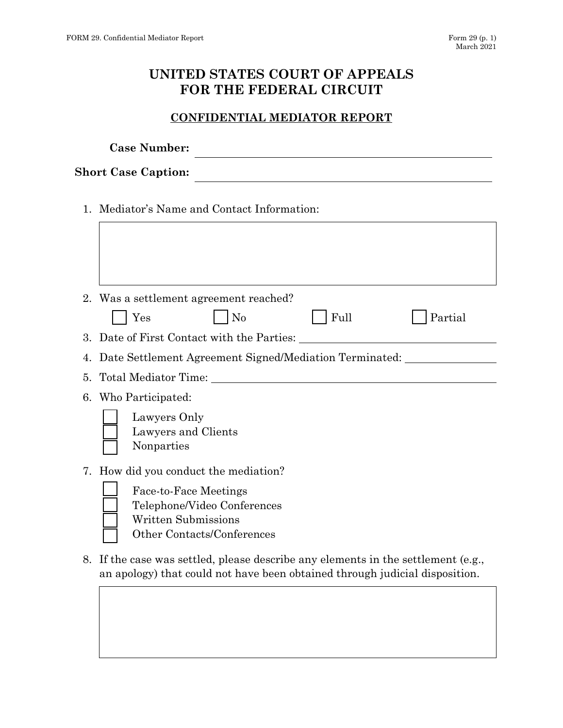## **UNITED STATES COURT OF APPEALS FOR THE FEDERAL CIRCUIT**

## **CONFIDENTIAL MEDIATOR REPORT**

|                            | <b>Case Number:</b>                                                                                                     |
|----------------------------|-------------------------------------------------------------------------------------------------------------------------|
| <b>Short Case Caption:</b> |                                                                                                                         |
|                            | 1. Mediator's Name and Contact Information:                                                                             |
|                            | 2. Was a settlement agreement reached?                                                                                  |
|                            | Full<br>Yes<br>N <sub>0</sub><br>Partial                                                                                |
|                            | 3. Date of First Contact with the Parties:                                                                              |
| 4.                         | Date Settlement Agreement Signed/Mediation Terminated:                                                                  |
| 5.                         | Total Mediator Time:                                                                                                    |
|                            | 6. Who Participated:                                                                                                    |
|                            | Lawyers Only<br>Lawyers and Clients<br>Nonparties                                                                       |
|                            | 7. How did you conduct the mediation?                                                                                   |
|                            | <b>Face-to-Face Meetings</b><br>Telephone/Video Conferences<br><b>Written Submissions</b><br>Other Contacts/Conferences |
|                            | If the ease wes softled, please describe ony elements in the settlement (e.g.                                           |

8. If the case was settled, please describe any elements in the settlement (e.g., an apology) that could not have been obtained through judicial disposition.